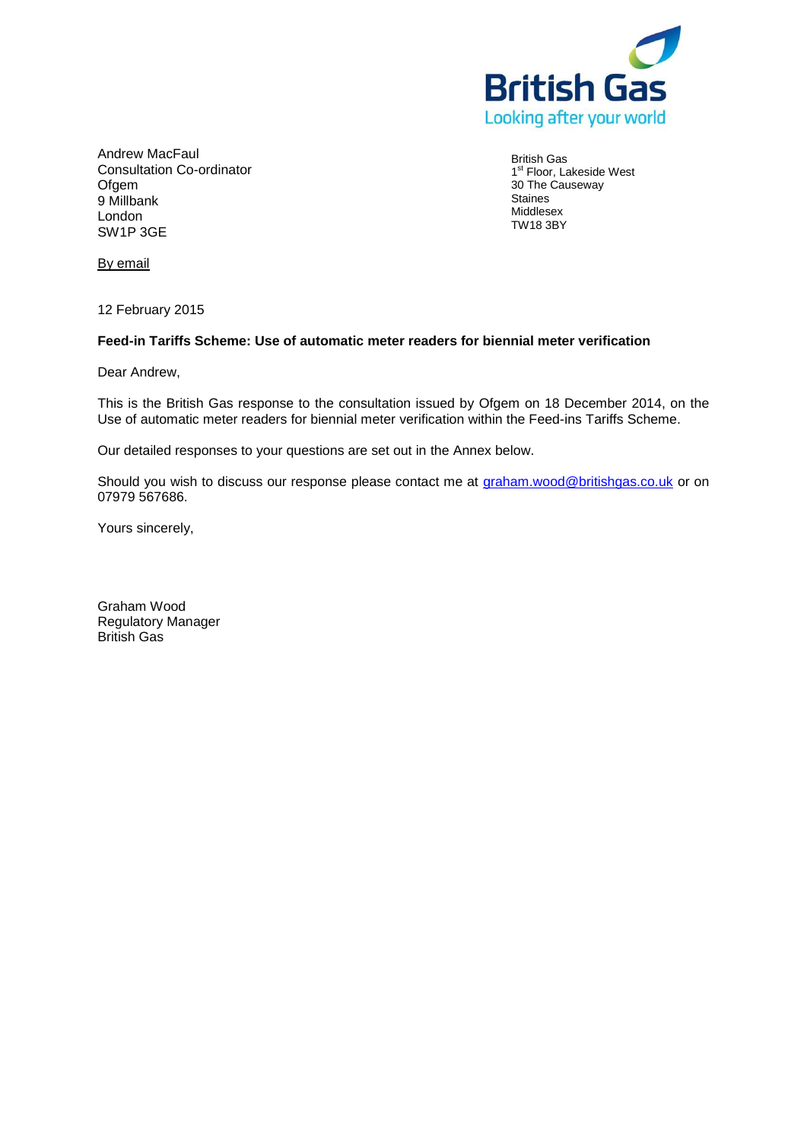

Andrew MacFaul Consultation Co-ordinator **Ofgem** 9 Millbank London SW1P 3GE

British Gas 1<sup>st</sup> Floor, Lakeside West 30 The Causeway Staines Middlesex TW18 3BY

By email

12 February 2015

# **Feed-in Tariffs Scheme: Use of automatic meter readers for biennial meter verification**

Dear Andrew,

This is the British Gas response to the consultation issued by Ofgem on 18 December 2014, on the Use of automatic meter readers for biennial meter verification within the Feed-ins Tariffs Scheme.

Our detailed responses to your questions are set out in the Annex below.

Should you wish to discuss our response please contact me at [graham.wood@britishgas.co.uk](mailto:graham.wood@britishgas.co.uk) or on 07979 567686.

Yours sincerely,

Graham Wood Regulatory Manager British Gas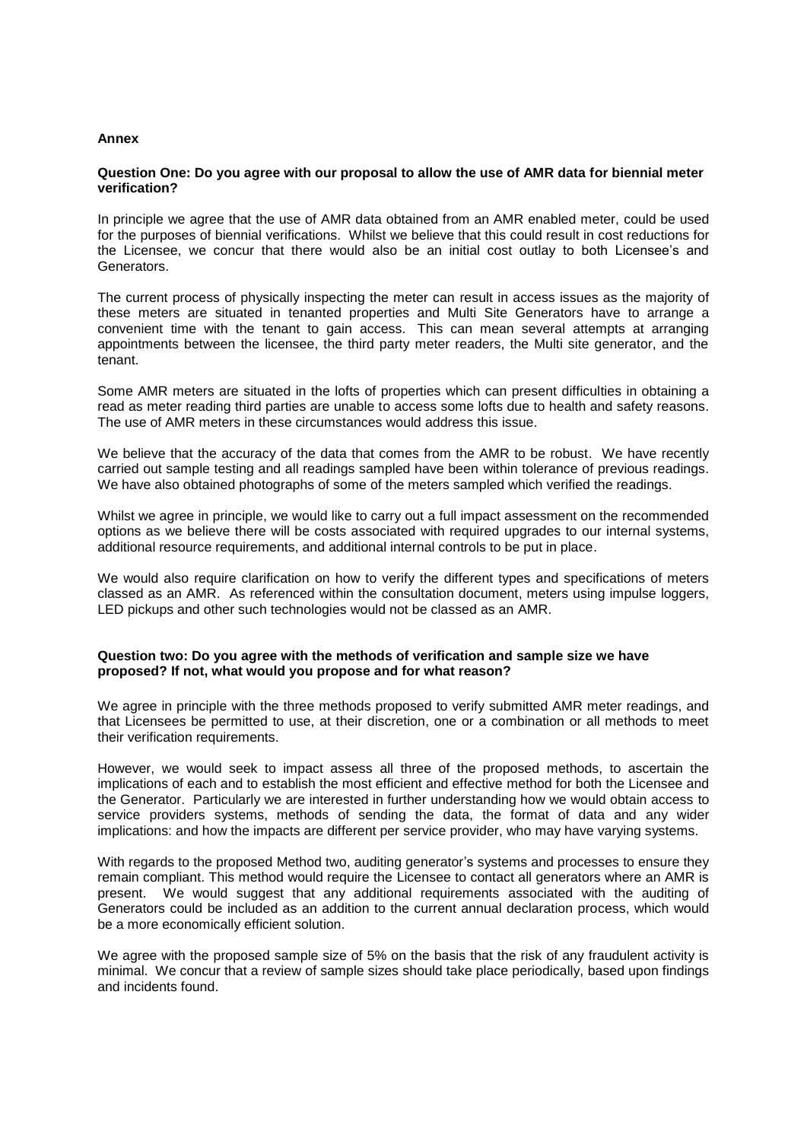#### **Annex**

#### **Question One: Do you agree with our proposal to allow the use of AMR data for biennial meter verification?**

In principle we agree that the use of AMR data obtained from an AMR enabled meter, could be used for the purposes of biennial verifications. Whilst we believe that this could result in cost reductions for the Licensee, we concur that there would also be an initial cost outlay to both Licensee's and Generators.

The current process of physically inspecting the meter can result in access issues as the majority of these meters are situated in tenanted properties and Multi Site Generators have to arrange a convenient time with the tenant to gain access. This can mean several attempts at arranging appointments between the licensee, the third party meter readers, the Multi site generator, and the tenant.

Some AMR meters are situated in the lofts of properties which can present difficulties in obtaining a read as meter reading third parties are unable to access some lofts due to health and safety reasons. The use of AMR meters in these circumstances would address this issue.

We believe that the accuracy of the data that comes from the AMR to be robust. We have recently carried out sample testing and all readings sampled have been within tolerance of previous readings. We have also obtained photographs of some of the meters sampled which verified the readings.

Whilst we agree in principle, we would like to carry out a full impact assessment on the recommended options as we believe there will be costs associated with required upgrades to our internal systems, additional resource requirements, and additional internal controls to be put in place.

We would also require clarification on how to verify the different types and specifications of meters classed as an AMR. As referenced within the consultation document, meters using impulse loggers, LED pickups and other such technologies would not be classed as an AMR.

### **Question two: Do you agree with the methods of verification and sample size we have proposed? If not, what would you propose and for what reason?**

We agree in principle with the three methods proposed to verify submitted AMR meter readings, and that Licensees be permitted to use, at their discretion, one or a combination or all methods to meet their verification requirements.

However, we would seek to impact assess all three of the proposed methods, to ascertain the implications of each and to establish the most efficient and effective method for both the Licensee and the Generator. Particularly we are interested in further understanding how we would obtain access to service providers systems, methods of sending the data, the format of data and any wider implications: and how the impacts are different per service provider, who may have varying systems.

With regards to the proposed Method two, auditing generator's systems and processes to ensure they remain compliant. This method would require the Licensee to contact all generators where an AMR is present. We would suggest that any additional requirements associated with the auditing of Generators could be included as an addition to the current annual declaration process, which would be a more economically efficient solution.

We agree with the proposed sample size of 5% on the basis that the risk of any fraudulent activity is minimal. We concur that a review of sample sizes should take place periodically, based upon findings and incidents found.